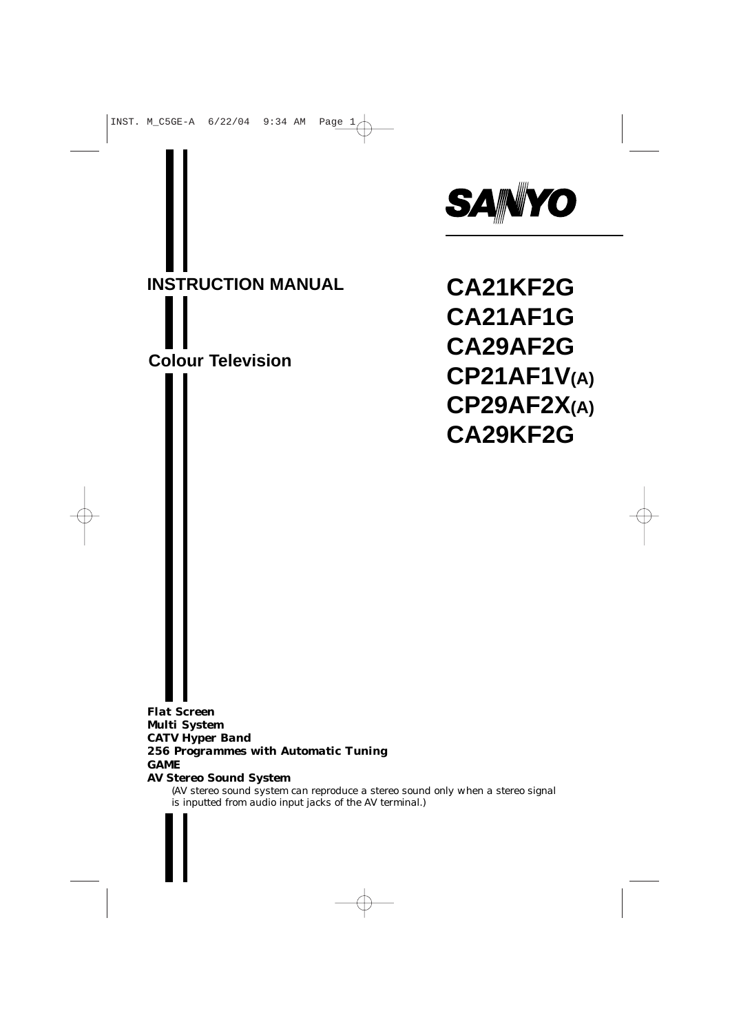

### **INSTRUCTION MANUAL**

### **Colour Television**

# **CA21KF2G CA21AF1G CA29AF2G CP21AF1V(A) CP29AF2X(A) CA29KF2G**

*Flat Screen Multi System CATV Hyper Band 256 Programmes with Automatic Tuning GAME*

#### *AV Stereo Sound System*

*(AV stereo sound system can reproduce a stereo sound only when a stereo signal is inputted from audio input jacks of the AV terminal.)*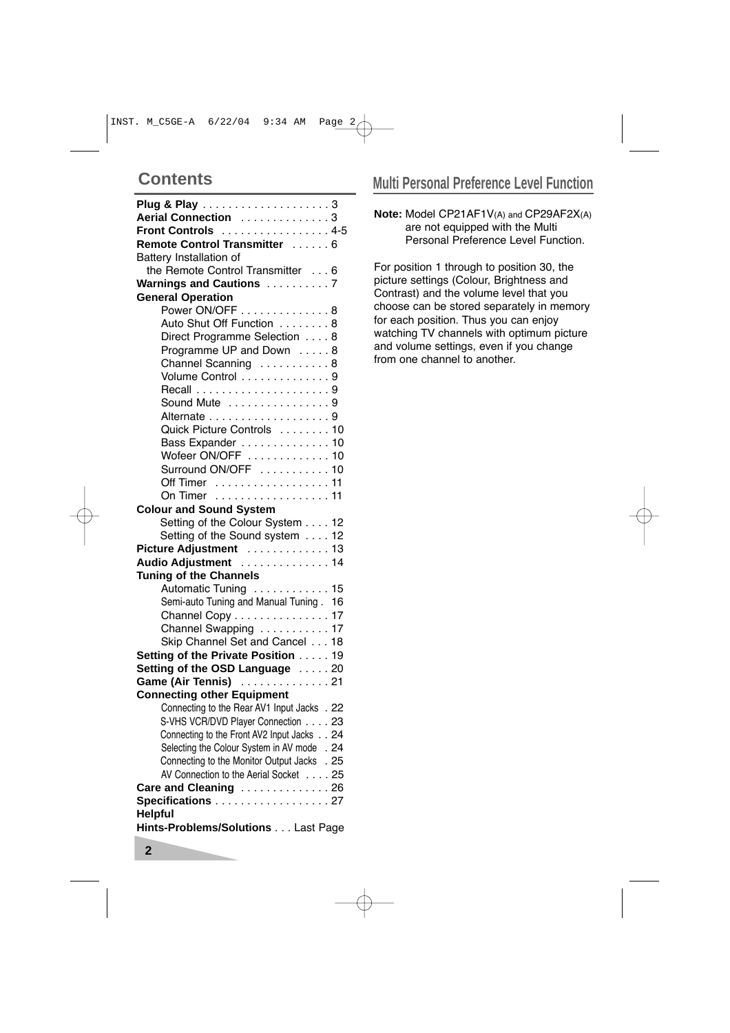### **Contents**

| Aerial Connection 3                         |  |
|---------------------------------------------|--|
| Front Controls 4-5                          |  |
| Remote Control Transmitter  6               |  |
| Battery Installation of                     |  |
| the Remote Control Transmitter 6            |  |
| Warnings and Cautions 7                     |  |
| <b>General Operation</b>                    |  |
| Power ON/OFF 8                              |  |
| Auto Shut Off Function 8                    |  |
| Direct Programme Selection 8                |  |
| Programme UP and Down 8                     |  |
| Channel Scanning 8                          |  |
| Volume Control 9                            |  |
|                                             |  |
| Sound Mute 9                                |  |
| Alternate 9                                 |  |
| Quick Picture Controls  10                  |  |
| Bass Expander 10                            |  |
| Wofeer ON/OFF  10                           |  |
| Surround ON/OFF 10                          |  |
| Off Timer 11                                |  |
| On Timer 11                                 |  |
| <b>Colour and Sound System</b>              |  |
| Setting of the Colour System 12             |  |
| Setting of the Sound system 12              |  |
| Picture Adjustment  13                      |  |
| Audio Adjustment  14                        |  |
| <b>Tuning of the Channels</b>               |  |
| Automatic Tuning  15                        |  |
| Semi-auto Tuning and Manual Tuning. 16      |  |
| Channel Copy 17                             |  |
| Channel Swapping  17                        |  |
| Skip Channel Set and Cancel 18              |  |
| Setting of the Private Position 19          |  |
| Setting of the OSD Language  20             |  |
| Game (Air Tennis) 21                        |  |
| <b>Connecting other Equipment</b>           |  |
| Connecting to the Rear AV1 Input Jacks . 22 |  |
| S-VHS VCR/DVD Player Connection 23          |  |
| Connecting to the Front AV2 Input Jacks 24  |  |
| Selecting the Colour System in AV mode . 24 |  |
| Connecting to the Monitor Output Jacks . 25 |  |
| AV Connection to the Aerial Socket 25       |  |
| Care and Cleaning 26                        |  |
| Specifications 27                           |  |
| Helpful                                     |  |
| Hints-Problems/Solutions Last Page          |  |

### **Multi Personal Preference Level Function**

**Note:** Model CP21AF1V(A) and CP29AF2X(A) are not equipped with the Multi Personal Preference Level Function.

For position 1 through to position 30, the picture settings (Colour, Brightness and Contrast) and the volume level that you choose can be stored separately in memory for each position. Thus you can enjoy watching TV channels with optimum picture and volume settings, even if you change from one channel to another.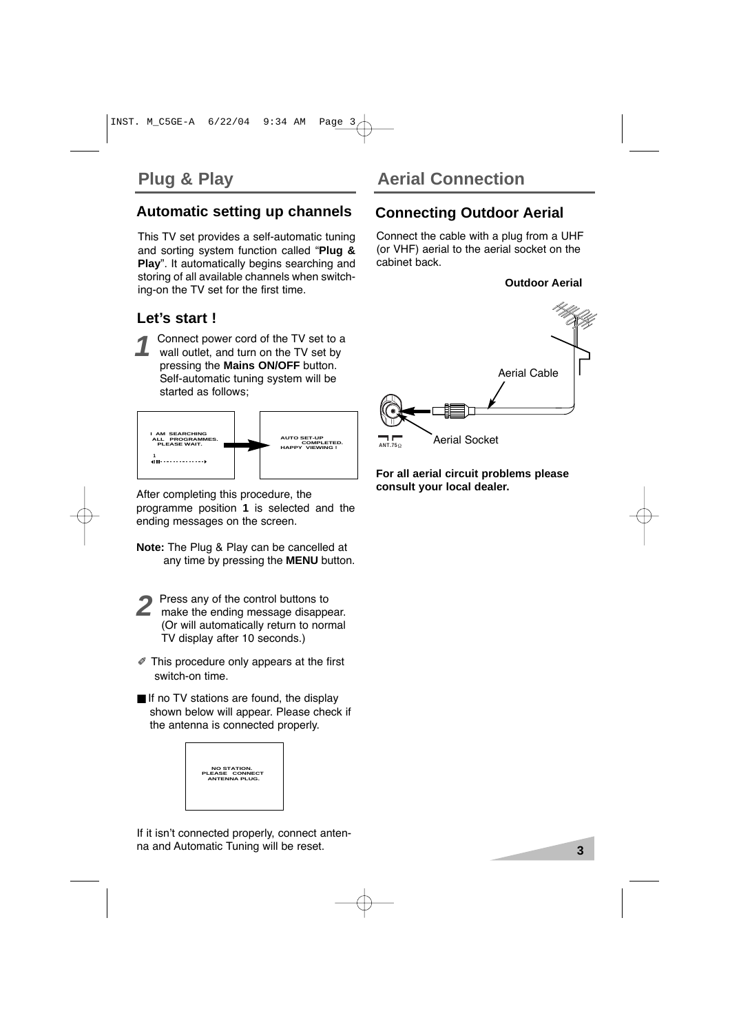### **Automatic setting up channels Connecting Outdoor Aerial**

This TV set provides a self-automatic tuning and sorting system function called "**Plug & Play**". It automatically begins searching and storing of all available channels when switching-on the TV set for the first time.

### **Let's start !**

**1** Connect power cord of the TV set to a wall outlet, and turn on the TV set by pressing the **Mains ON/OFF** button. Self-automatic tuning system will be started as follows;



After completing this procedure, the programme position **1** is selected and the ending messages on the screen.

- **Note:** The Plug & Play can be cancelled at any time by pressing the **MENU** button.
- **2** Press any of the control buttons to make the ending message disappear. (Or will automatically return to normal TV display after 10 seconds.)
- ✐ This procedure only appears at the first switch-on time.
- If no TV stations are found, the display shown below will appear. Please check if the antenna is connected properly.



If it isn't connected properly, connect antenna and Automatic Tuning will be reset.

Connect the cable with a plug from a UHF (or VHF) aerial to the aerial socket on the cabinet back.

#### **Outdoor Aerial**



**For all aerial circuit problems please consult your local dealer.**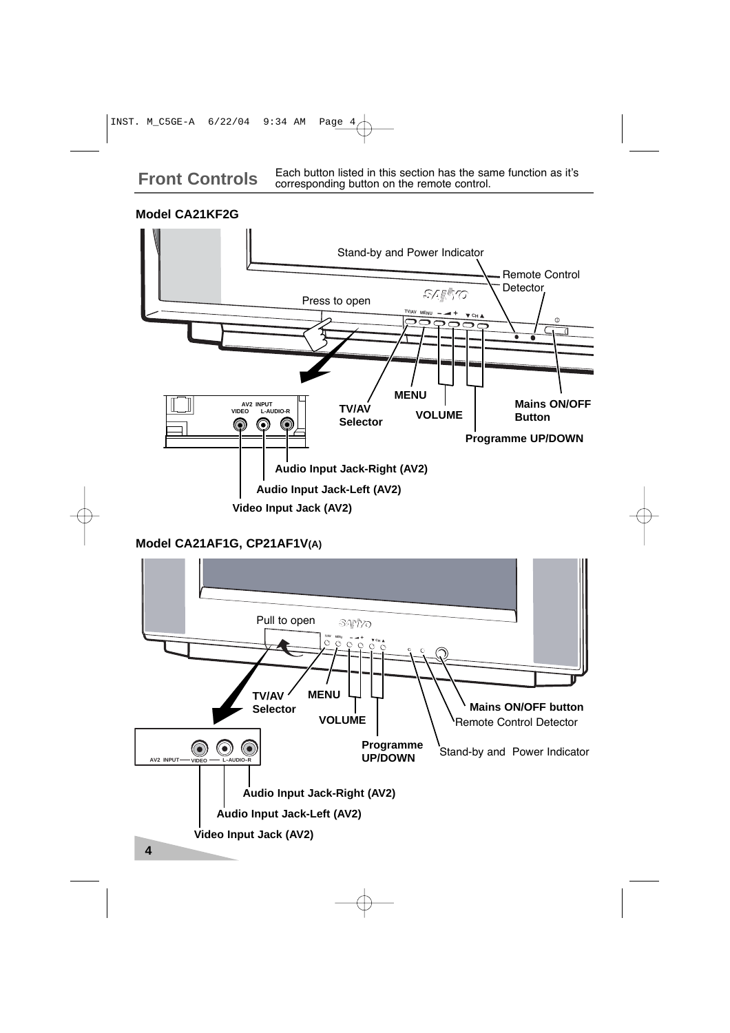**Front Controls** Each button listed in this section has the same function as it's corresponding button on the remote control.





#### **Model CA21AF1G, CP21AF1V(A)**

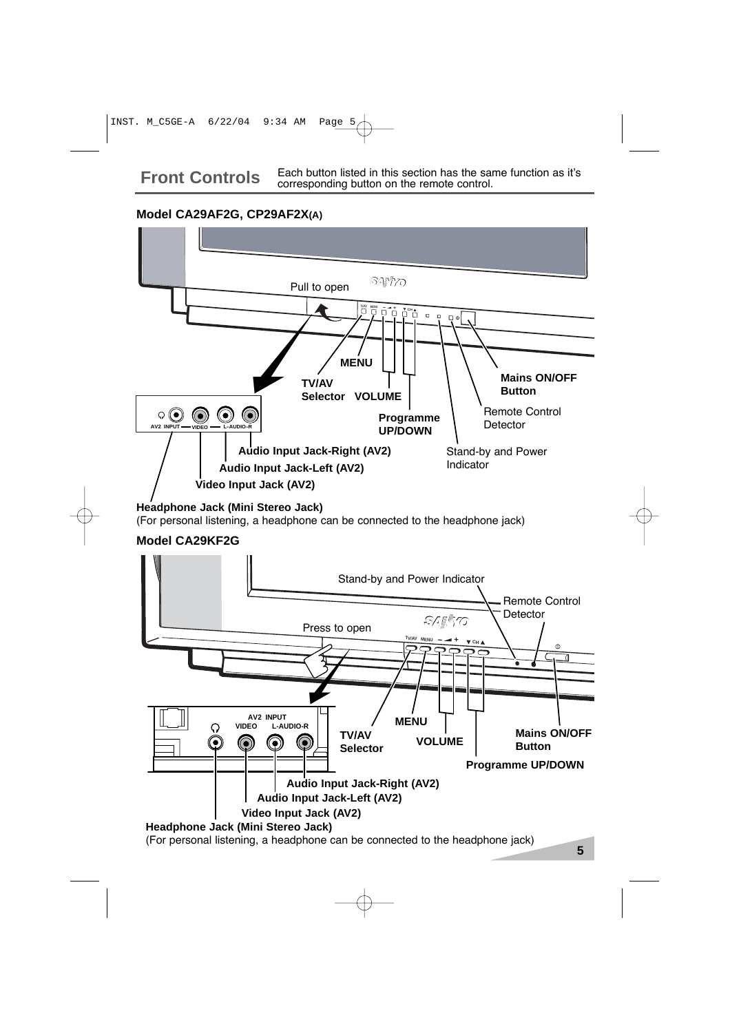Each button listed in this section has the same function as it's corresponding button on the remote control.

### **Model CA29AF2G, CP29AF2X(A)**



#### **Headphone Jack (Mini Stereo Jack)**

(For personal listening, a headphone can be connected to the headphone jack)

#### **Model CA29KF2G**



(For personal listening, a headphone can be connected to the headphone jack)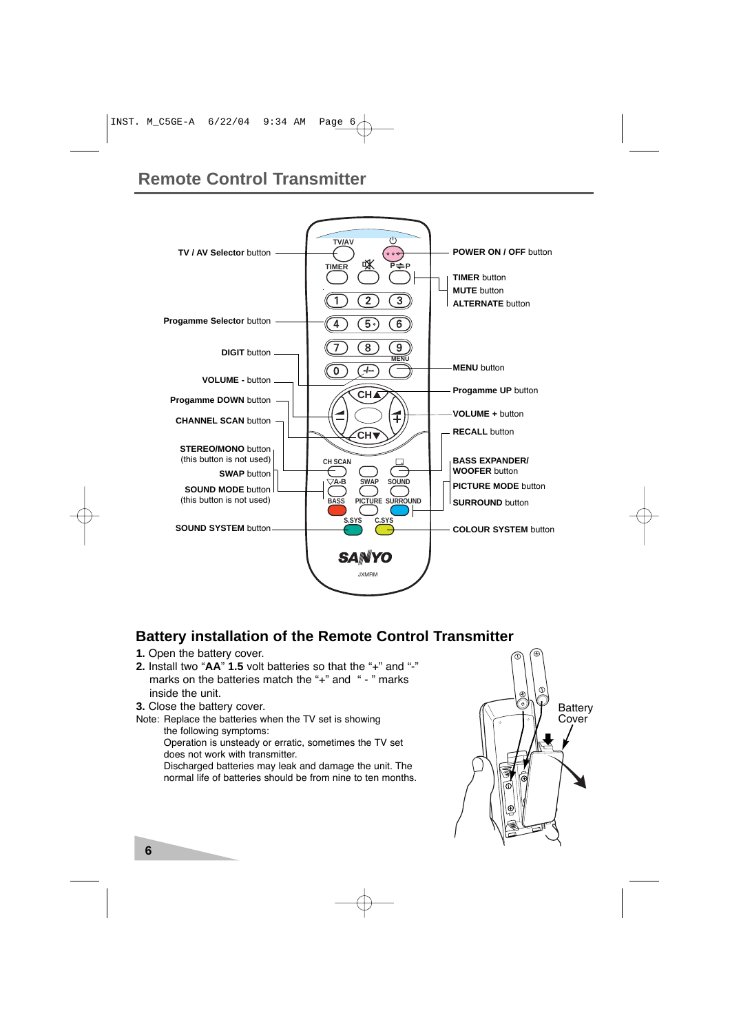

### **Battery installation of the Remote Control Transmitter**

- **1.** Open the battery cover.
- **2.** Install two "**AA**" **1.5** volt batteries so that the "+" and "-" marks on the batteries match the "+" and " - " marks inside the unit.
- **3.** Close the battery cover.
- Note: Replace the batteries when the TV set is showing the following symptoms:

Operation is unsteady or erratic, sometimes the TV set does not work with transmitter.

Discharged batteries may leak and damage the unit. The normal life of batteries should be from nine to ten months.

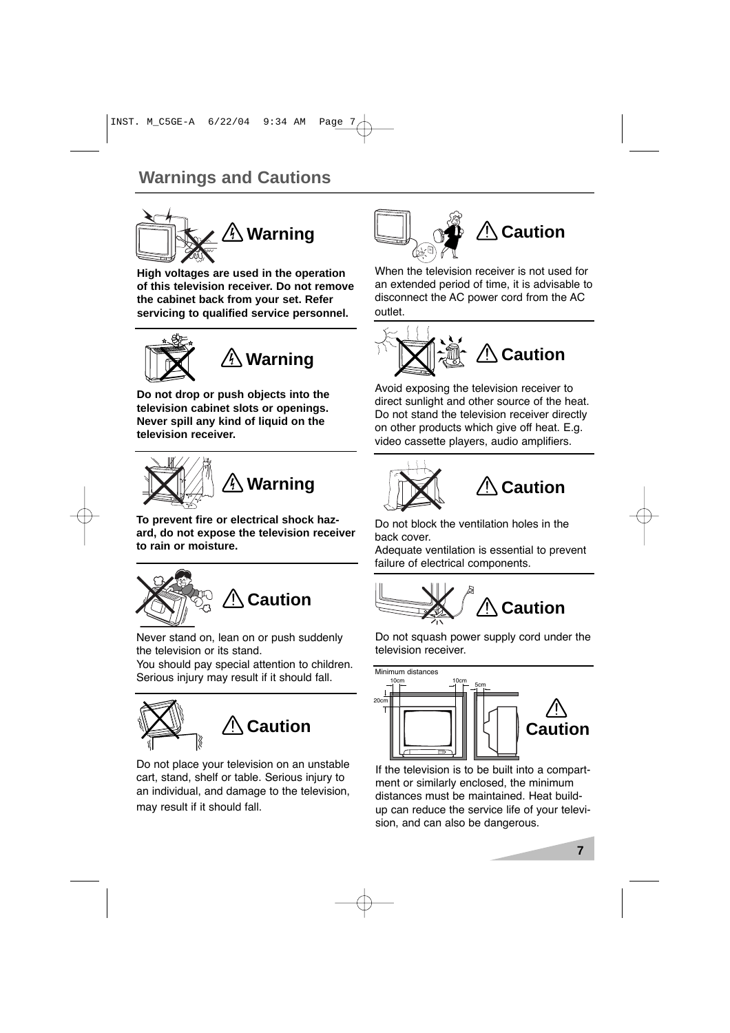

**High voltages are used in the operation of this television receiver. Do not remove the cabinet back from your set. Refer servicing to qualified service personnel.** 





**Do not drop or push objects into the television cabinet slots or openings. Never spill any kind of liquid on the television receiver.**



**To prevent fire or electrical shock hazard, do not expose the television receiver to rain or moisture.**



Never stand on, lean on or push suddenly the television or its stand.

You should pay special attention to children. Serious injury may result if it should fall.



Do not place your television on an unstable cart, stand, shelf or table. Serious injury to an individual, and damage to the television, may result if it should fall.



# **Caution**

When the television receiver is not used for an extended period of time, it is advisable to disconnect the AC power cord from the AC outlet.



Avoid exposing the television receiver to direct sunlight and other source of the heat. Do not stand the television receiver directly on other products which give off heat. E.g. video cassette players, audio amplifiers.





Do not block the ventilation holes in the back cover.

Adequate ventilation is essential to prevent failure of electrical components.



Do not squash power supply cord under the television receiver.



If the television is to be built into a compartment or similarly enclosed, the minimum distances must be maintained. Heat buildup can reduce the service life of your television, and can also be dangerous.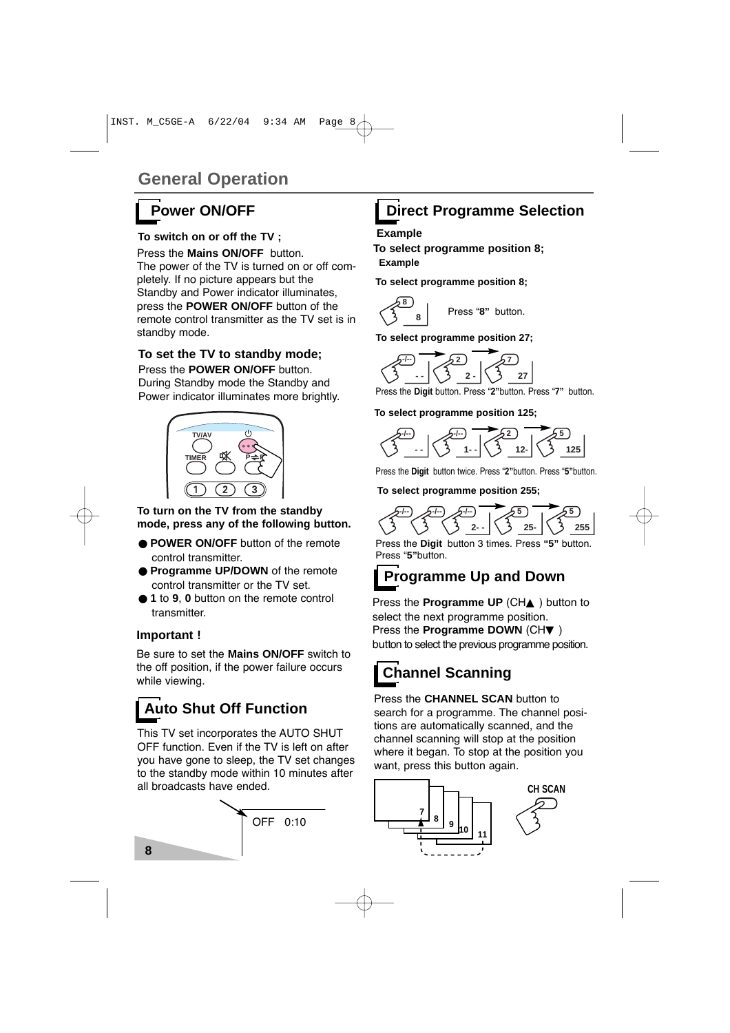#### **To switch on or off the TV ;**

Press the **Mains ON/OFF** button. The power of the TV is turned on or off completely. If no picture appears but the Standby and Power indicator illuminates, press the **POWER ON/OFF** button of the remote control transmitter as the TV set is in standby mode.

### **To set the TV to standby mode;**

Press the **POWER ON/OFF** button. During Standby mode the Standby and Power indicator illuminates more brightly.



#### **To turn on the TV from the standby mode, press any of the following button.**

- **POWER ON/OFF** button of the remote control transmitter.
- **Programme UP/DOWN** of the remote control transmitter or the TV set.
- **1** to **9**, **0** button on the remote control transmitter.

#### **Important !**

Be sure to set the **Mains ON/OFF** switch to the off position, if the power failure occurs while viewing.

# **Auto Shut Off Function**

This TV set incorporates the AUTO SHUT OFF function. Even if the TV is left on after you have gone to sleep, the TV set changes to the standby mode within 10 minutes after all broadcasts have ended.



# **Power ON/OFF Direct Programme Selection**

#### **Example**

**To select programme position 8; Example**

**To select programme position 8;**

$$
\bigotimes_{\mathbf{3}}^{\mathbf{8}}\mathbf{1}
$$

Press "**8"** button.

**To select programme position 27;**



Press the **Digit** button. Press "**2"**button. Press "**7"** button.

#### **To select programme position 125;**



Press the **Digit** button twice. Press "**2"**button. Press "**5"**button.

**To select programme position 255;**



Press the **Digit** button 3 times. Press **"5"** button. Press "**5"**button.

# **Programme Up and Down**

Press the **Programme UP** (CH▲ ) button to select the next programme position. Press the **Programme DOWN** (CH▼ ) button to select the previous programme position.

# **Channel Scanning**

Press the **CHANNEL SCAN** button to search for a programme. The channel positions are automatically scanned, and the channel scanning will stop at the position where it began. To stop at the position you want, press this button again.



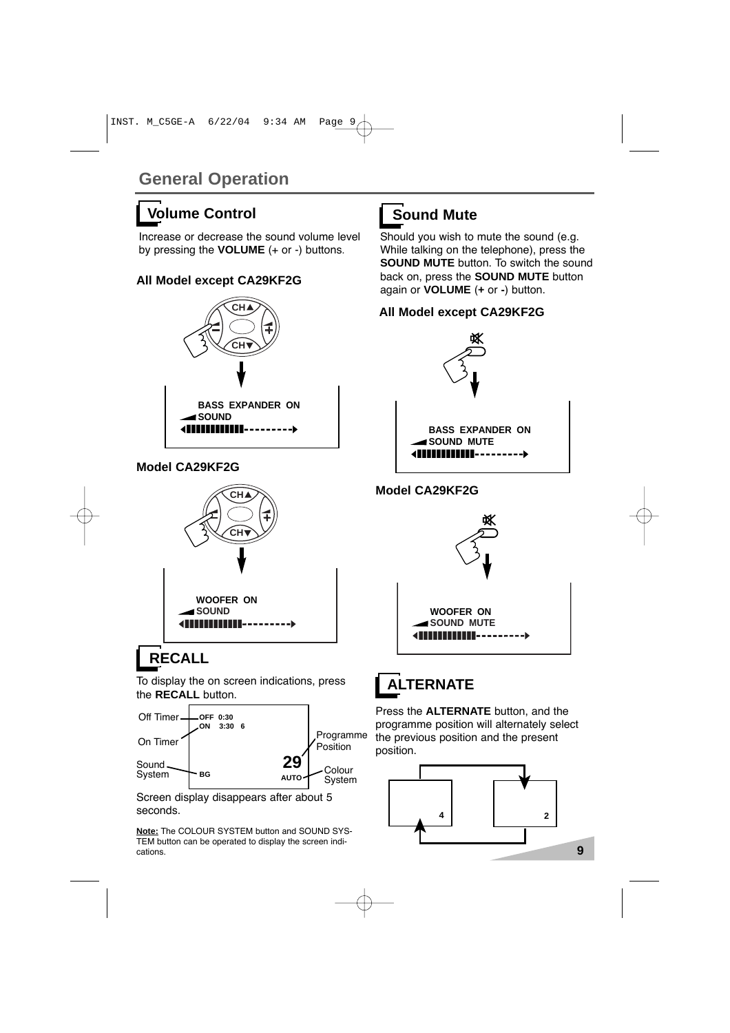## **Volume Control**

Increase or decrease the sound volume level by pressing the **VOLUME** (+ or -) buttons.

### **-/-- All Model except CA29KF2G**



#### **-/-- Model CA29KF2G**



### To display the on screen indications, press the **RECALL** button.



Screen display disappears after about 5 seconds.

**Note:** The COLOUR SYSTEM button and SOUND SYS-TEM button can be operated to display the screen indications.

# **Sound Mute**

Should you wish to mute the sound (e.g. While talking on the telephone), press the **SOUND MUTE** button. To switch the sound back on, press the **SOUND MUTE** button again or **VOLUME** (**+** or **-**) button.

### **All Model except CA29KF2G**



**Model CA29KF2G**



# **ALTERNATE**

Press the **ALTERNATE** button, and the programme position will alternately select the previous position and the present position.

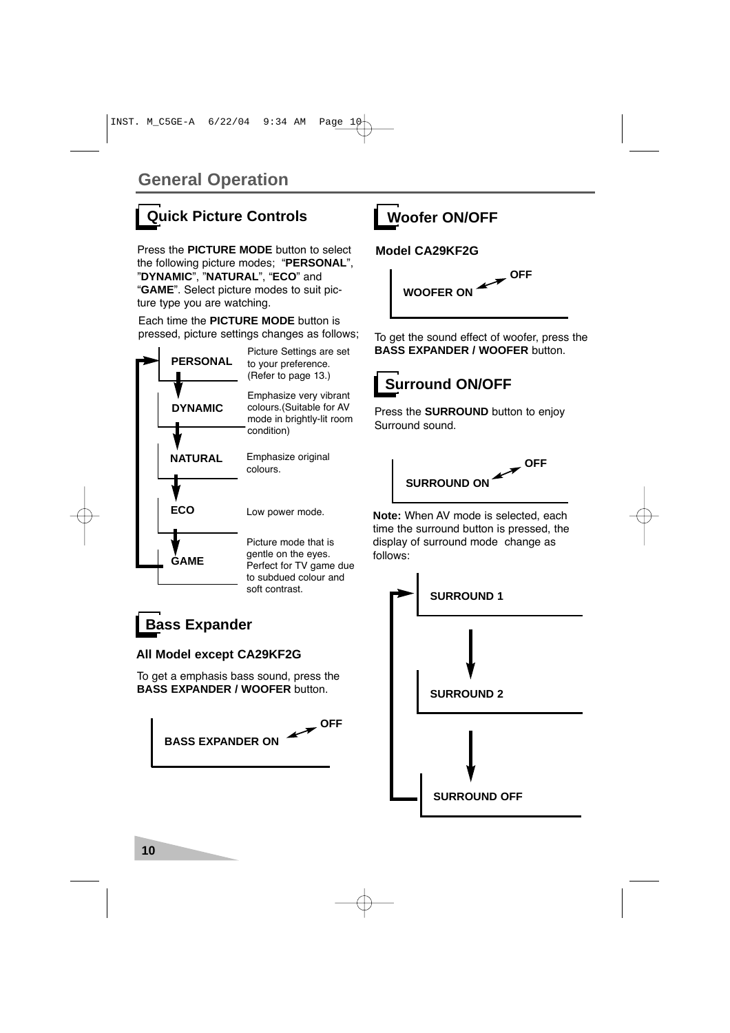# **Quick Picture Controls**

Press the **PICTURE MODE** button to select the following picture modes; "**PERSONAL**", "**DYNAMIC**", "**NATURAL**", "**ECO**" and

"**GAME**". Select picture modes to suit picture type you are watching.

Each time the **PICTURE MODE** button is pressed, picture settings changes as follows;



# **Bass Expander**

#### **All Model except CA29KF2G**

To get a emphasis bass sound, press the **BASS EXPANDER / WOOFER** button.



### **Woofer ON/OFF**

**Model CA29KF2G**



To get the sound effect of woofer, press the **BASS EXPANDER / WOOFER** button.

# **Surround ON/OFF**

Press the **SURROUND** button to enjoy Surround sound.



**Note:** When AV mode is selected, each time the surround button is pressed, the display of surround mode change as follows:

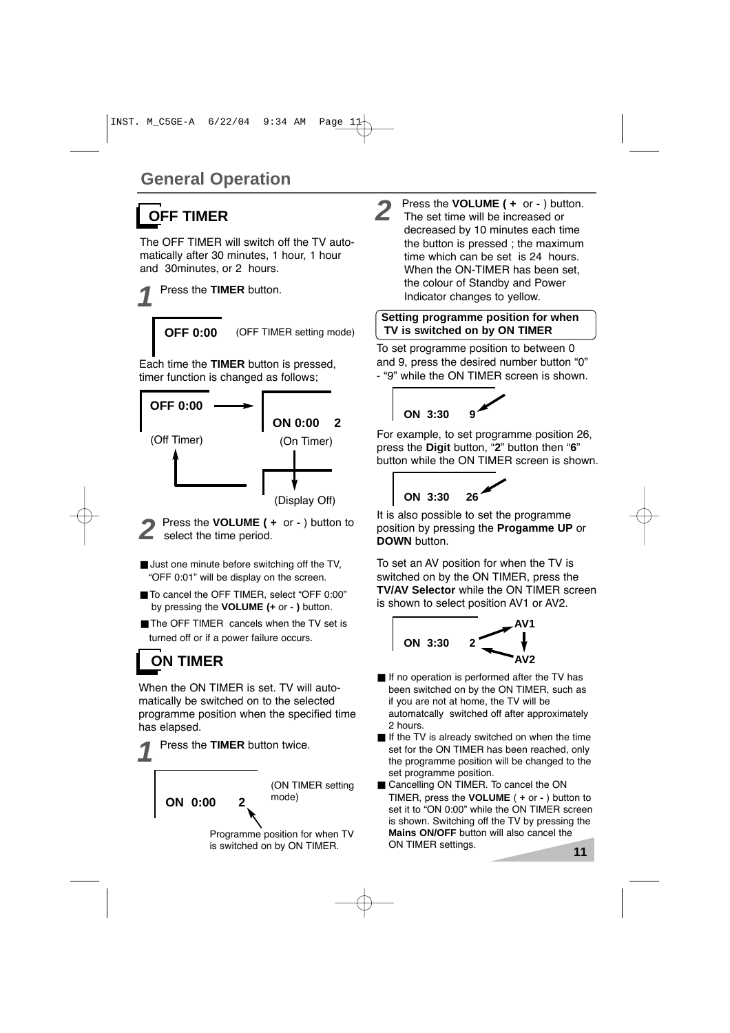# **OFF TIMER**

The OFF TIMER will switch off the TV automatically after 30 minutes, 1 hour, 1 hour and 30minutes, or 2 hours.

**1** Press the **TIMER** button.

**OFF 0:00** (OFF TIMER setting mode)

Each time the **TIMER** button is pressed, timer function is changed as follows;



- **2** Press the **VOLUME ( +** or **-** ) button to select the time period.
- Just one minute before switching off the TV, "OFF 0:01" will be display on the screen.
- To cancel the OFF TIMER, select "OFF 0:00" by pressing the **VOLUME (+** or **- )** button.
- The OFF TIMER cancels when the TV set is turned off or if a power failure occurs.

# **ON TIMER**

When the ON TIMER is set. TV will automatically be switched on to the selected programme position when the specified time has elapsed.

**1** Press the **TIMER** button twice.

mode) **ON 0:00 2**

(ON TIMER setting

Programme position for when TV is switched on by ON TIMER.

**2** Press the **VOLUME** ( + or - ) button.<br>The set time will be increased or The set time will be increased or decreased by 10 minutes each time the button is pressed ; the maximum time which can be set is 24 hours. When the ON-TIMER has been set, the colour of Standby and Power Indicator changes to yellow.

#### **Setting programme position for when TV is switched on by ON TIMER**

To set programme position to between 0 and 9, press the desired number button "0" - "9" while the ON TIMER screen is shown.



For example, to set programme position 26, press the **Digit** button, "**2**" button then "**6**" button while the ON TIMER screen is shown.



It is also possible to set the programme position by pressing the **Progamme UP** or **DOWN** button.

To set an AV position for when the TV is switched on by the ON TIMER, press the **TV/AV Selector** while the ON TIMER screen is shown to select position AV1 or AV2.



- If no operation is performed after the TV has been switched on by the ON TIMER, such as if you are not at home, the TV will be automatcally switched off after approximately 2 hours.
- If the TV is already switched on when the time set for the ON TIMER has been reached, only the programme position will be changed to the set programme position.
- Cancelling ON TIMER. To cancel the ON TIMER, press the **VOLUME** ( **+** or **-** ) button to set it to "ON 0:00" while the ON TIMER screen is shown. Switching off the TV by pressing the **Mains ON/OFF** button will also cancel the ON TIMER settings.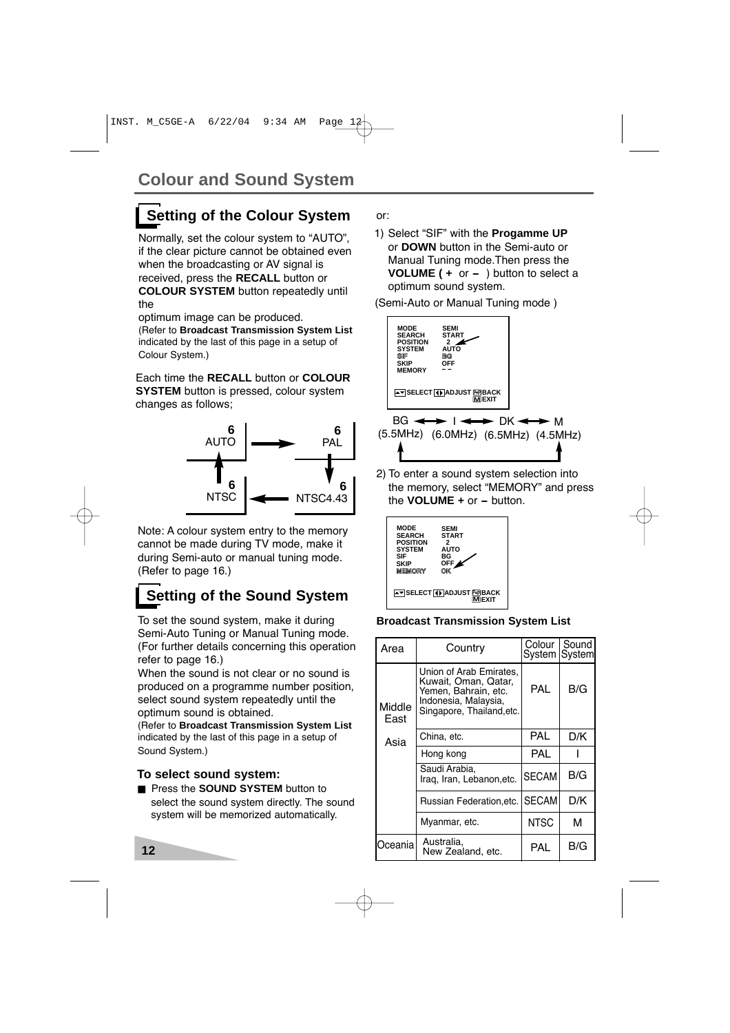# **Setting of the Colour System**

Normally, set the colour system to "AUTO", if the clear picture cannot be obtained even when the broadcasting or AV signal is received, press the **RECALL** button or **COLOUR SYSTEM** button repeatedly until the

optimum image can be produced.

(Refer to **Broadcast Transmission System List** indicated by the last of this page in a setup of Colour System.)

Each time the **RECALL** button or **COLOUR SYSTEM** button is pressed, colour system changes as follows;



Note: A colour system entry to the memory cannot be made during TV mode, make it during Semi-auto or manual tuning mode. (Refer to page 16.)

## **Setting of the Sound System**

To set the sound system, make it during Semi-Auto Tuning or Manual Tuning mode. (For further details concerning this operation refer to page 16.)

When the sound is not clear or no sound is produced on a programme number position, select sound system repeatedly until the optimum sound is obtained.

(Refer to **Broadcast Transmission System List** indicated by the last of this page in a setup of Sound System.)

#### **To select sound system:**

■ Press the **SOUND SYSTEM** button to select the sound system directly. The sound system will be memorized automatically.

or:

1) Select "SIF" with the **Progamme UP** or **DOWN** button in the Semi-auto or Manual Tuning mode.Then press the **VOLUME ( +** or **-** ) button to select a optimum sound system.

(Semi-Auto or Manual Tuning mode )



2) To enter a sound system selection into the memory, select "MEMORY" and press the **VOLUME +** or **-** button.



#### **Broadcast Transmission System List**

| Area           | Country                                                                                                                      | Colour<br>System System | Sound |
|----------------|------------------------------------------------------------------------------------------------------------------------------|-------------------------|-------|
| Middle<br>East | Union of Arab Emirates,<br>Kuwait, Oman, Qatar,<br>Yemen, Bahrain, etc.<br>Indonesia, Malaysia,<br>Singapore, Thailand, etc. | PAL                     | B/G   |
| Asia           | China, etc.                                                                                                                  | PAL                     | D/K   |
|                | Hong kong                                                                                                                    | PAL                     |       |
|                | Saudi Arabia,<br>Irag, Iran, Lebanon,etc.                                                                                    | <b>SECAM</b>            | B/G   |
|                | Russian Federation,etc.                                                                                                      | <b>SECAM</b>            | D/K   |
|                | Myanmar, etc.                                                                                                                | <b>NTSC</b>             | М     |
| Oceania        | Australia,<br>New Zealand, etc.                                                                                              | PAL                     | B/G   |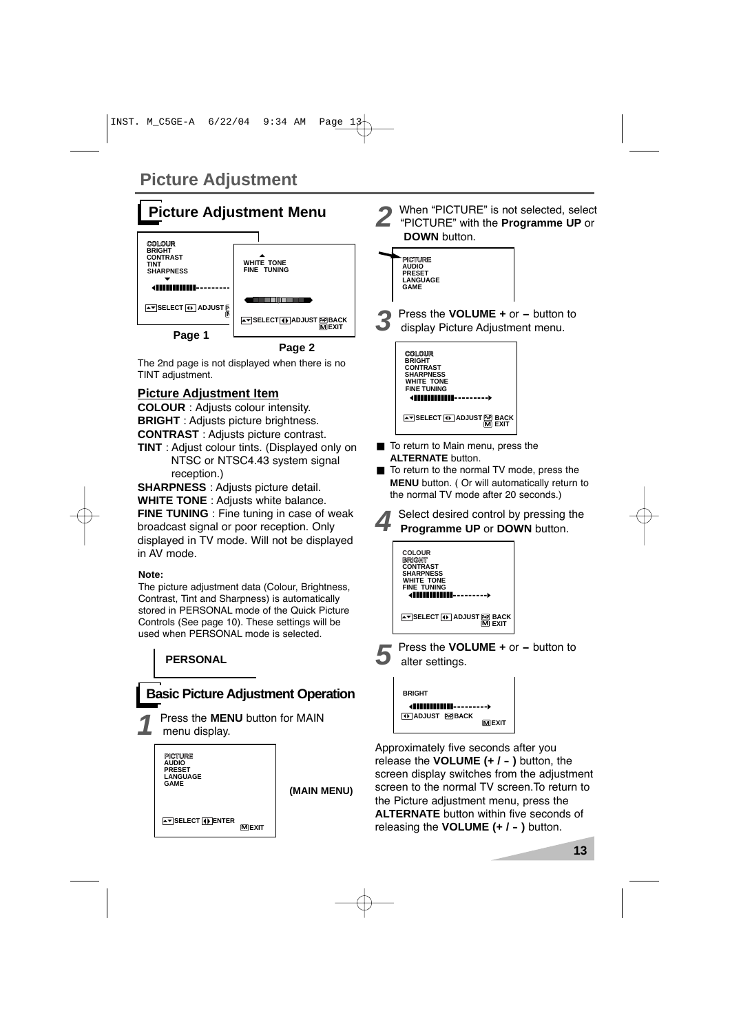

The 2nd page is not displayed when there is no TINT adjustment.

#### **Picture Adjustment Item**

**COLOUR** : Adjusts colour intensity. **BRIGHT** : Adiusts picture brightness.

**CONTRAST** : Adjusts picture contrast.

**TINT** : Adjust colour tints. (Displayed only on NTSC or NTSC4.43 system signal reception.)

**SHARPNESS** : Adjusts picture detail.

**WHITE TONE** : Adjusts white balance.

**FINE TUNING** : Fine tuning in case of weak broadcast signal or poor reception. Only displayed in TV mode. Will not be displayed in AV mode.

#### **Note:**

The picture adjustment data (Colour, Brightness, Contrast, Tint and Sharpness) is automatically stored in PERSONAL mode of the Quick Picture Controls (See page 10). These settings will be used when PERSONAL mode is selected.



menu display.



**(MAIN MENU)**

**SELECT ENTER <sup>M</sup> EXIT**

**2** When "PICTURE" is not selected, select "PICTURE" with the **Programme UP** or **DOWN** button.



**SELECT ADJUST BACK <sup>P</sup> <sup>P</sup> M EXIT**

- To return to Main menu, press the **ALTERNATE** button.
- To return to the normal TV mode, press the **MENU** button. ( Or will automatically return to the normal TV mode after 20 seconds.)





**5** Press the **VOLUME +** or **-** button to alter settings.



Approximately five seconds after you release the **VOLUME (+ / - )** button, the screen display switches from the adjustment screen to the normal TV screen.To return to the Picture adjustment menu, press the **ALTERNATE** button within five seconds of releasing the **VOLUME (+ / - )** button.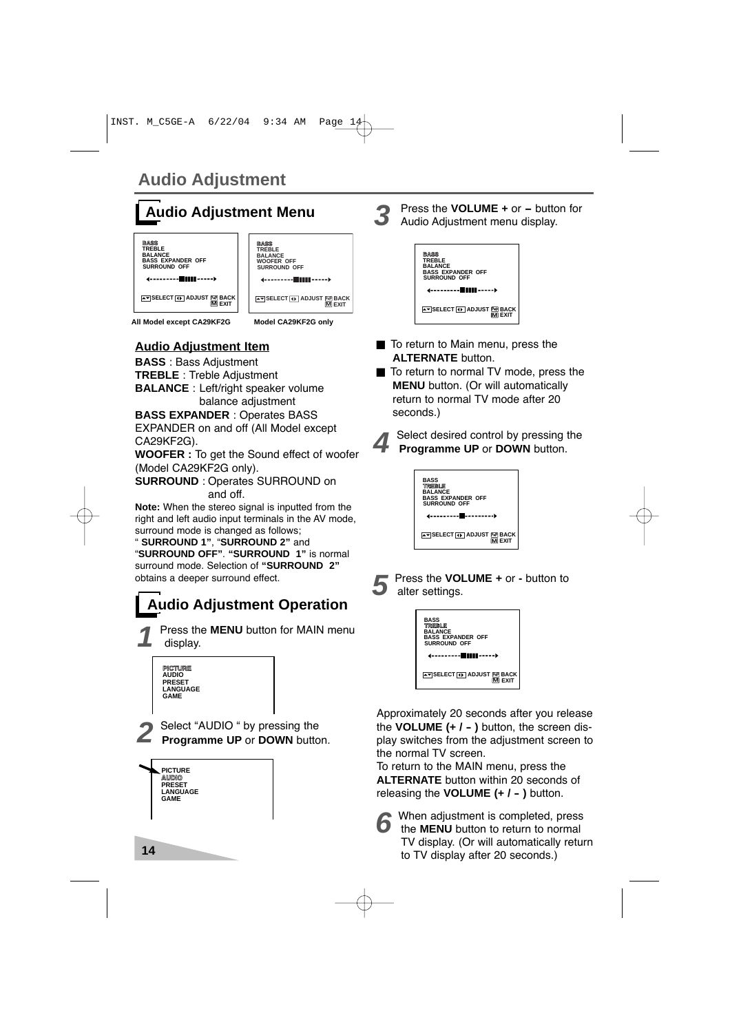### **Audio Adjustment**

## **Audio Adjustment Menu**

**SELECT ADJUST BACK <sup>P</sup> <sup>P</sup> M EXIT TREBLE BALANCE BASS EXPANDER OFF SURROUND OFF IIII SELECT ADJUST BACK <sup>P</sup> <sup>P</sup> M EXIT TREBLE BALANCE WOOFER OFF SURROUND OFF IIII**

**All Model except CA29KF2G Model CA29KF2G only**

#### **Audio Adjustment Item**

**BASS** : Bass Adjustment

**TREBLE** : Treble Adjustment

**BALANCE** : Left/right speaker volume balance adjustment

**BASS EXPANDER** : Operates BASS EXPANDER on and off (All Model except CA29KF2G).

**WOOFER :** To get the Sound effect of woofer (Model CA29KF2G only).

**SURROUND** : Operates SURROUND on and off.

**Note:** When the stereo signal is inputted from the right and left audio input terminals in the AV mode, surround mode is changed as follows;

" **SURROUND 1"**, "**SURROUND 2"** and "**SURROUND OFF"**. **"SURROUND 1"** is normal surround mode. Selection of **"SURROUND 2"** obtains a deeper surround effect.

# **Audio Adjustment Operation**

**1** Press the **MENU** button for MAIN menu display.



**3** Press the **VOLUME +** or **-** button for Audio Adjustment menu display.

| BASS<br>TREBLE<br><b>BALANCE</b><br><b>BASS EXPANDER OFF</b><br><b>SURROUND OFF</b><br>$  - - - -  $<br>. |
|-----------------------------------------------------------------------------------------------------------|
|                                                                                                           |
| <b>AVISELECT 4 ADJUST BE BACK</b><br><b>MI EXIT</b>                                                       |

- To return to Main menu, press the **ALTERNATE** button.
- To return to normal TV mode, press the **MENU** button. (Or will automatically return to normal TV mode after 20 seconds.)





**5** Press the **VOLUME +** or **-** button to alter settings.

| <b>BASS</b><br>TREBLE<br><b>BALANCE</b><br><b>BASS EXPANDER OFF</b><br><b>SURROUND OFF</b> |
|--------------------------------------------------------------------------------------------|
|                                                                                            |
| AVISELECT 11 ADJUST FOR BACK<br><b>MI EXIT</b>                                             |

Approximately 20 seconds after you release the **VOLUME (+ / - )** button, the screen display switches from the adjustment screen to the normal TV screen.

To return to the MAIN menu, press the **ALTERNATE** button within 20 seconds of releasing the **VOLUME (+ / - )** button.

**6** When adjustment is completed, press the **MENU** button to return to normal TV display. (Or will automatically return to TV display after 20 seconds.)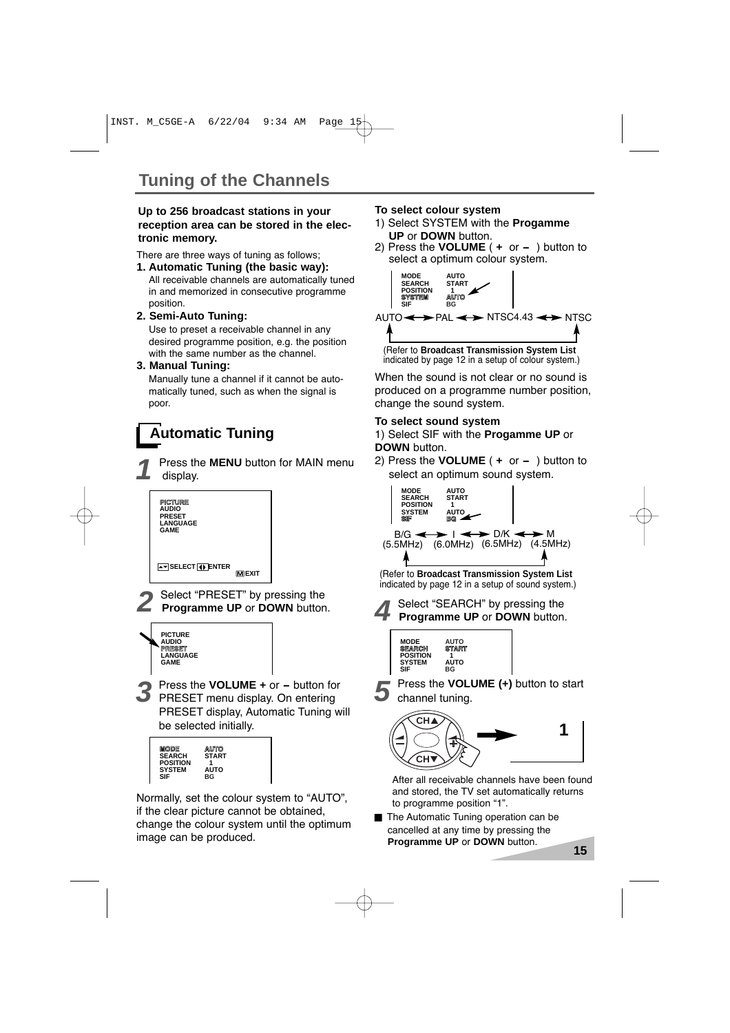#### **Up to 256 broadcast stations in your reception area can be stored in the electronic memory.**

There are three ways of tuning as follows;

#### **1. Automatic Tuning (the basic way):**

All receivable channels are automatically tuned in and memorized in consecutive programme position.

#### **2. Semi-Auto Tuning:**

Use to preset a receivable channel in any desired programme position, e.g. the position with the same number as the channel.

#### **3. Manual Tuning:**

Manually tune a channel if it cannot be automatically tuned, such as when the signal is poor.

### **Automatic Tuning**

**1** Press the **MENU** button for MAIN menu display.



**2** Select "PRESET" by pressing the **Programme UP** or **DOWN** button.



**3** Press the **VOLUME +** or **-** button for PRESET menu display. On entering PRESET display, Automatic Tuning will be selected initially.



Normally, set the colour system to "AUTO", if the clear picture cannot be obtained, change the colour system until the optimum image can be produced.

#### **To select colour system**

- 1) Select SYSTEM with the **Progamme UP** or **DOWN** button.
- 2) Press the **VOLUME** ( **<sup>+</sup>** or **-** ) button to select a optimum colour system.



When the sound is not clear or no sound is produced on a programme number position, change the sound system.

#### **To select sound system**

1) Select SIF with the **Progamme UP** or **DOWN** button.

2) Press the **VOLUME** ( **<sup>+</sup>** or **-** ) button to select an optimum sound system.



(Refer to **Broadcast Transmission System List** indicated by page 12 in a setup of sound system.)

**4** Select "SEARCH" by pressing the **Programme UP** or **DOWN** button.

| <b>MODE</b><br><b>SEARCH</b><br><b>POSITION</b><br><b>SYSTEM</b><br>SIF | <b>AUTO</b><br><b>START</b><br><b>AUTO</b><br>BG |
|-------------------------------------------------------------------------|--------------------------------------------------|
|-------------------------------------------------------------------------|--------------------------------------------------|





After all receivable channels have been found and stored, the TV set automatically returns to programme position "1".

■ The Automatic Tuning operation can be cancelled at any time by pressing the **Programme UP** or **DOWN** button.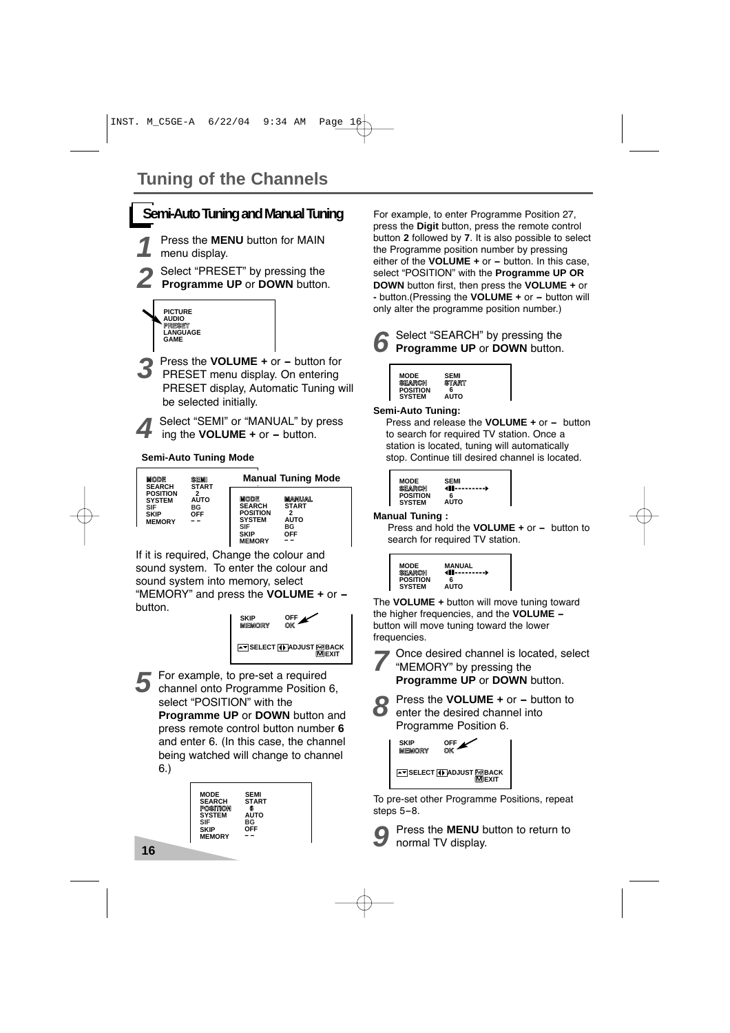### **Semi-Auto Tuning and Manual Tuning**

**1** Press the **MENU** button for MAIN menu display.

**2** Select "PRESET" by pressing the **Programme UP** or **DOWN** button.



**3** Press the **VOLUME +** or **-** button for PRESET menu display. On entering PRESET display, Automatic Tuning will be selected initially.

Select "SEMI" or "MANUAL" by press ing the **VOLUME +** or **-** button.

#### **Semi-Auto Tuning Mode**

| <b>MODE</b><br><b>SEARCH</b>                                            | SEMI<br><b>START</b>   | <b>Manual Tuning Mode</b>                                                                               |                                                         |  |
|-------------------------------------------------------------------------|------------------------|---------------------------------------------------------------------------------------------------------|---------------------------------------------------------|--|
| <b>POSITION</b><br><b>SYSTEM</b><br>SIF<br><b>SKIP</b><br><b>MEMORY</b> | 2<br>AUTO<br>ВG<br>OFF | <b>MODE</b><br><b>SEARCH</b><br><b>POSITION</b><br><b>SYSTEM</b><br>SIF<br><b>SKIP</b><br><b>MEMORY</b> | MANUAL<br><b>START</b><br>2<br><b>AUTO</b><br>BG<br>OFF |  |

If it is required, Change the colour and sound system. To enter the colour and sound system into memory, select "MEMORY" and press the **VOLUME +** or  button.



**5** For example, to pre-set a required channel onto Programme Position 6, select "POSITION" with the

**Programme UP** or **DOWN** button and press remote control button number **6** and enter 6. (In this case, the channel being watched will change to channel 6.)

| <b>MODE</b><br><b>SEARCH</b><br><b>POSITION</b><br><b>SYSTEM</b> | <b>SEMI</b><br><b>START</b><br>®<br><b>AUTO</b> |
|------------------------------------------------------------------|-------------------------------------------------|
| SIF                                                              | BG                                              |
| <b>SKIP</b>                                                      | OFF                                             |
| <b>MEMORY</b>                                                    |                                                 |

For example, to enter Programme Position 27, press the **Digit** button, press the remote control button **2** followed by **7**. It is also possible to select the Programme position number by pressing either of the **VOLUME +** or **-** button. In this case, select "POSITION" with the **Programme UP OR DOWN** button first, then press the **VOLUME +** or **-** button.(Pressing the **VOLUME +** or **-** button will only alter the programme position number.)



| <b>MODE</b>     | <b>SEMI</b> |  |
|-----------------|-------------|--|
| SEARCH          | START       |  |
| <b>POSITION</b> | հ           |  |
| <b>SYSTEM</b>   | AUTO        |  |

#### **Semi-Auto Tuning:**

Press and release the **VOLUME +** or **-** button to search for required TV station. Once a station is located, tuning will automatically stop. Continue till desired channel is located.



#### **Manual Tuning :**

Press and hold the **VOLUME +** or **-** button to search for required TV station.



The **VOLUME +** button will move tuning toward the higher frequencies, and the **VOLUME**  button will move tuning toward the lower frequencies.



**7** Once desired channel is located, select "MEMORY" by pressing the **Programme UP** or **DOWN** button.



**8** Press the **VOLUME +** or **-** button to enter the desired channel into Programme Position 6.



To pre-set other Programme Positions, repeat steps 5-8.

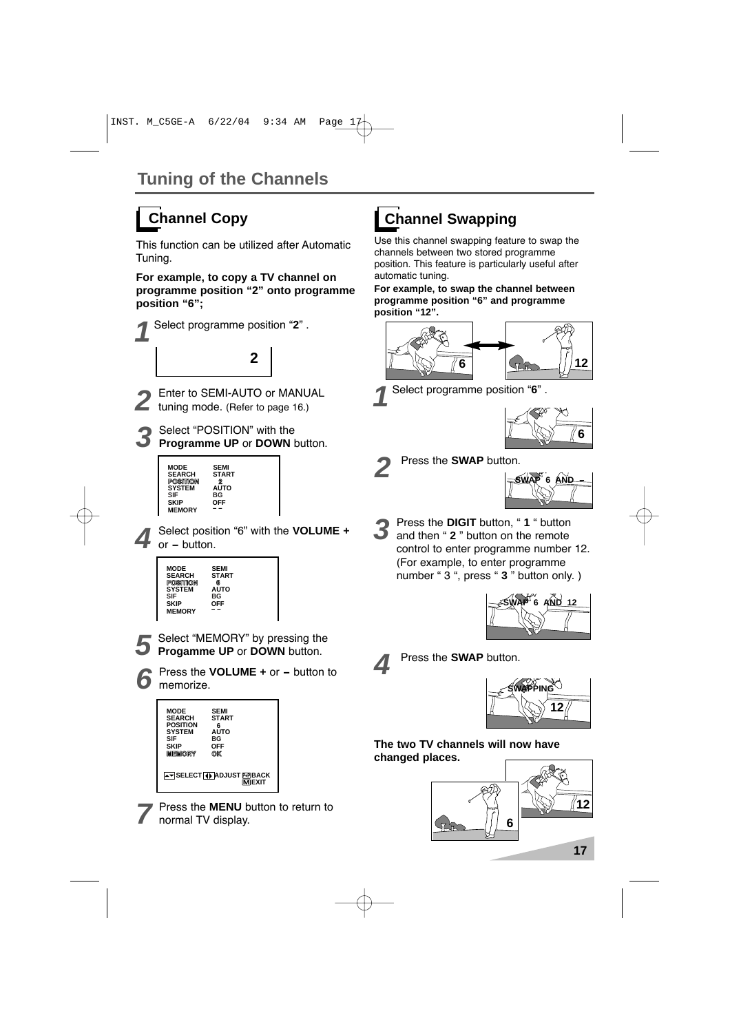This function can be utilized after Automatic Tuning.

**For example, to copy a TV channel on programme position "2" onto programme position "6";**



# **Channel Copy Channel Swapping**

Use this channel swapping feature to swap the channels between two stored programme position. This feature is particularly useful after automatic tuning.

**For example, to swap the channel between programme position "6" and programme position "12".**



**1** Select programme position "**6**" .





**2** Press the **SWAP** button.



**3** Press the **DIGIT** button, " **<sup>1</sup>** " button and then " **2** " button on the remote control to enter programme number 12. (For example, to enter programme number " 3 ", press " **3** " button only. )





**4** Press the **SWAP** button.



#### **The two TV channels will now have changed places.**

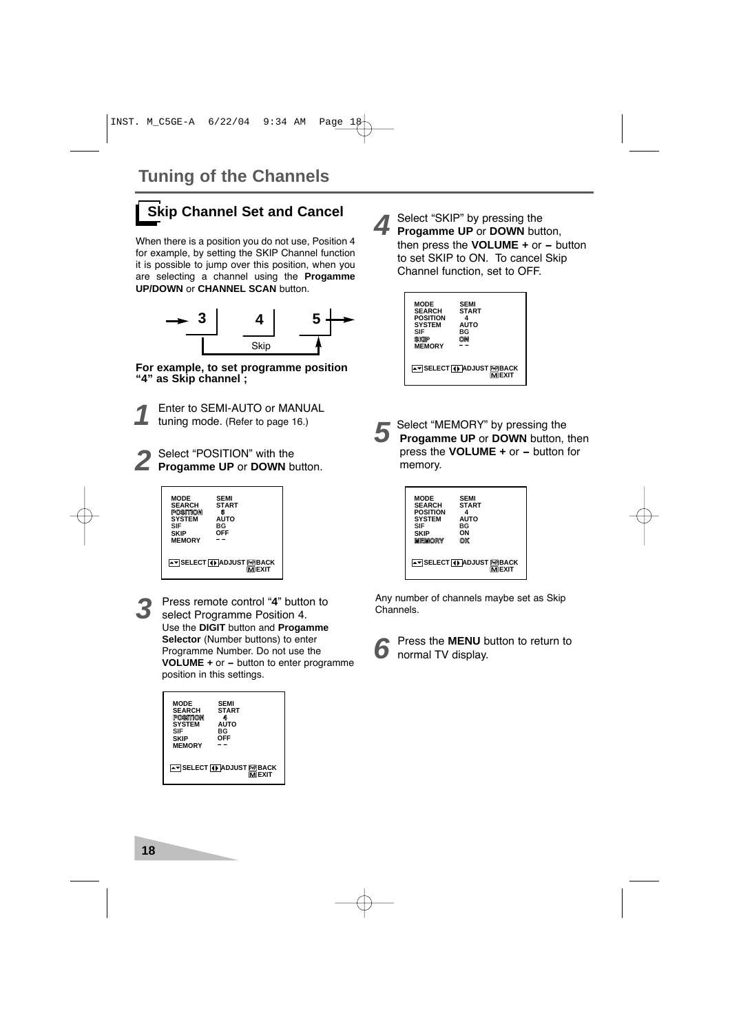# **Skip Channel Set and Cancel**

When there is a position you do not use, Position 4 for example, by setting the SKIP Channel function it is possible to jump over this position, when you are selecting a channel using the **Progamme UP/DOWN** or **CHANNEL SCAN** button.



**For example, to set programme position "4" as Skip channel ;**

- **1** Enter to SEMI-AUTO or MANUAL tuning mode. (Refer to page 16.)
- **2** Select "POSITION" with the **Progamme UP** or **DOWN** button.

| <b>MODE</b><br><b>SEARCH</b><br>POSITION<br><b>SYSTEM</b><br>SIF<br><b>SKIP</b><br><b>MEMORY</b> | <b>SEMI</b><br><b>START</b><br>6<br><b>AUTO</b><br>BG<br><b>OFF</b> |
|--------------------------------------------------------------------------------------------------|---------------------------------------------------------------------|
|                                                                                                  | <b>AVISELECT TO ADJUST PRIBACK</b><br><b>MEXIT</b>                  |

**3** Press remote control "**4**" button to select Programme Position 4. Use the **DIGIT** button and **Progamme Selector** (Number buttons) to enter Programme Number. Do not use the **VOLUME +** or **-** button to enter programme position in this settings.



**4** Select "SKIP" by pressing the **Progamme UP** or **DOWN** button, then press the **VOLUME +** or **-** button to set SKIP to ON. To cancel Skip Channel function, set to OFF.



**5** Select "MEMORY" by pressing the **Progamme UP** or **DOWN** button, then press the **VOLUME +** or **-** button for memory.

| <b>MODE</b><br><b>SEARCH</b><br><b>POSITION</b><br><b>SYSTEM</b><br>SIF<br><b>SKIP</b><br><b>MEMORY</b> | <b>SEMI</b><br><b>START</b><br><b>AUTO</b><br>BG<br>ON<br><b>OK</b> |
|---------------------------------------------------------------------------------------------------------|---------------------------------------------------------------------|
|                                                                                                         | <b>AVISELECT TO ADJUST PE BACK</b><br><b>MEXIT</b>                  |

Any number of channels maybe set as Skip Channels.

**6** Press the **MENU** button to return to normal TV display.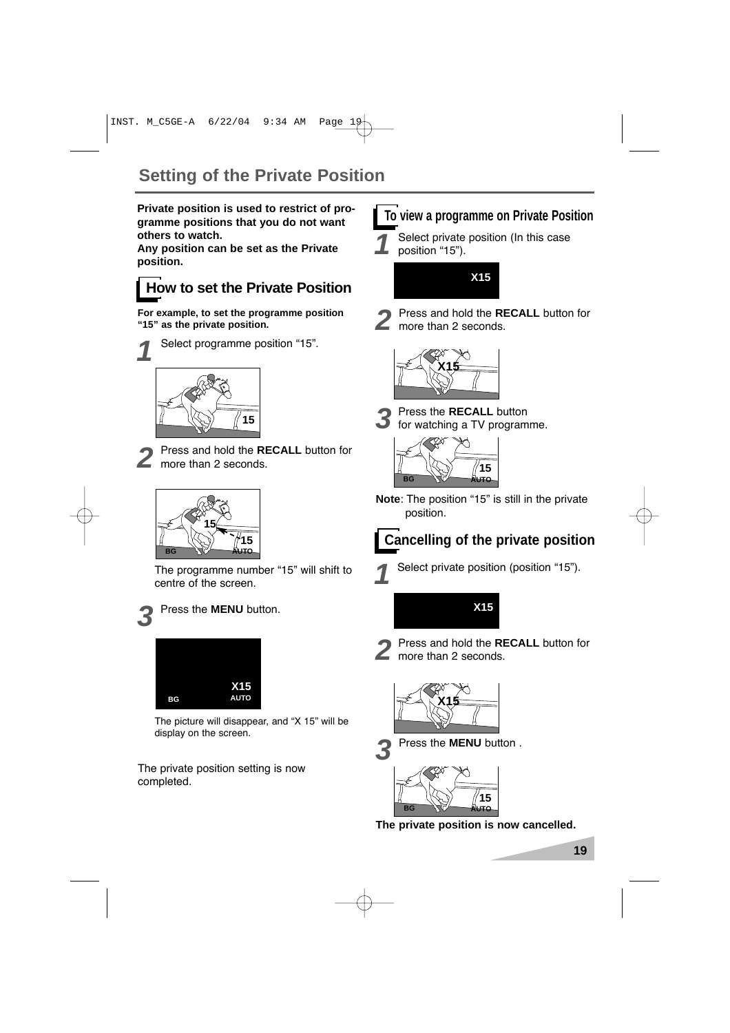### **Setting of the Private Position**

**Private position is used to restrict of programme positions that you do not want others to watch.**

**Any position can be set as the Private position.** 

### **How to set the Private Position**

**For example, to set the programme position "15" as the private position.**



**1** Select programme position "15".





**2** Press and hold the **RECALL** button for  $\angle$  more than 2 seconds.



The programme number "15" will shift to centre of the screen.



**3** Press the **MENU** button.



The picture will disappear, and "X 15" will be display on the screen.

The private position setting is now completed.

### **To view a programme on Private Position**

**1** Select private position (In this case position "15").



**2** Press and hold the **RECALL** button for more than 2 seconds.



**3** Press the **RECALL** button for watching a TV programme.



**Note**: The position "15" is still in the private position.

# **Cancelling of the private position**



**1** Select private position (position "15").



**2** Press and hold the **RECALL** button for more than 2 seconds.







**The private position is now cancelled.**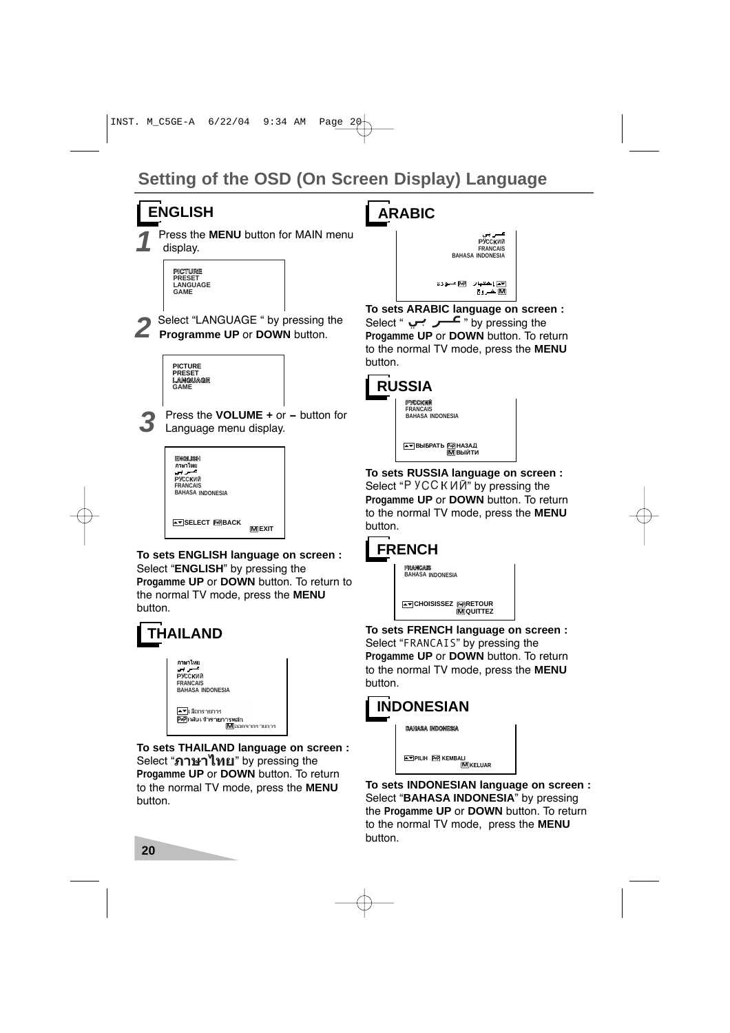

**Progamme UP** or **DOWN** button. To return to the normal TV mode, press the **MENU** button.





**To sets THAILAND language on screen :** Select "ภาษาไทย" by pressing the **Progamme UP** or **DOWN** button. To return to the normal TV mode, press the **MENU** button.

**Progamme UP** or **DOWN** button. To return to the normal TV mode, press the **MENU** button. **INDONESIAN**

**CHOISISSEZ RETOUR M QUITTEZ P P**

**To sets FRENCH language on screen :** Select "FRANCAIS" by pressing the



**To sets INDONESIAN language on screen :** Select "**BAHASA INDONESIA**" by pressing the **Progamme UP** or **DOWN** button. To return to the normal TV mode, press the **MENU** button.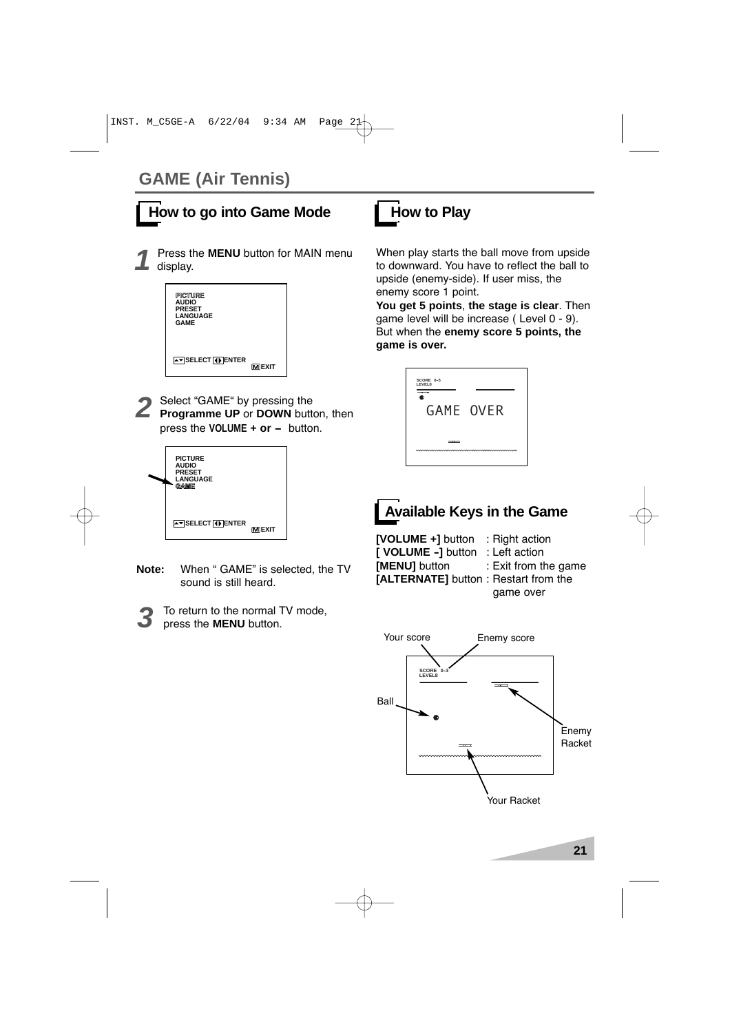



- **Note:** When " GAME" is selected, the TV sound is still heard.
	- **3** To return to the normal TV mode, press the **MENU** button.

When play starts the ball move from upside to downward. You have to reflect the ball to upside (enemy-side). If user miss, the enemy score 1 point.

**You get 5 points**, **the stage is clear**. Then game level will be increase ( Level 0 - 9). But when the **enemy score 5 points, the game is over.**



### **Available Keys in the Game**

**[VOLUME +]** button : Right action **[ VOLUME -]** button : Left action<br>**[MENU]** button : Exit from the **Exit from the game [ALTERNATE]** button : Restart from the game over

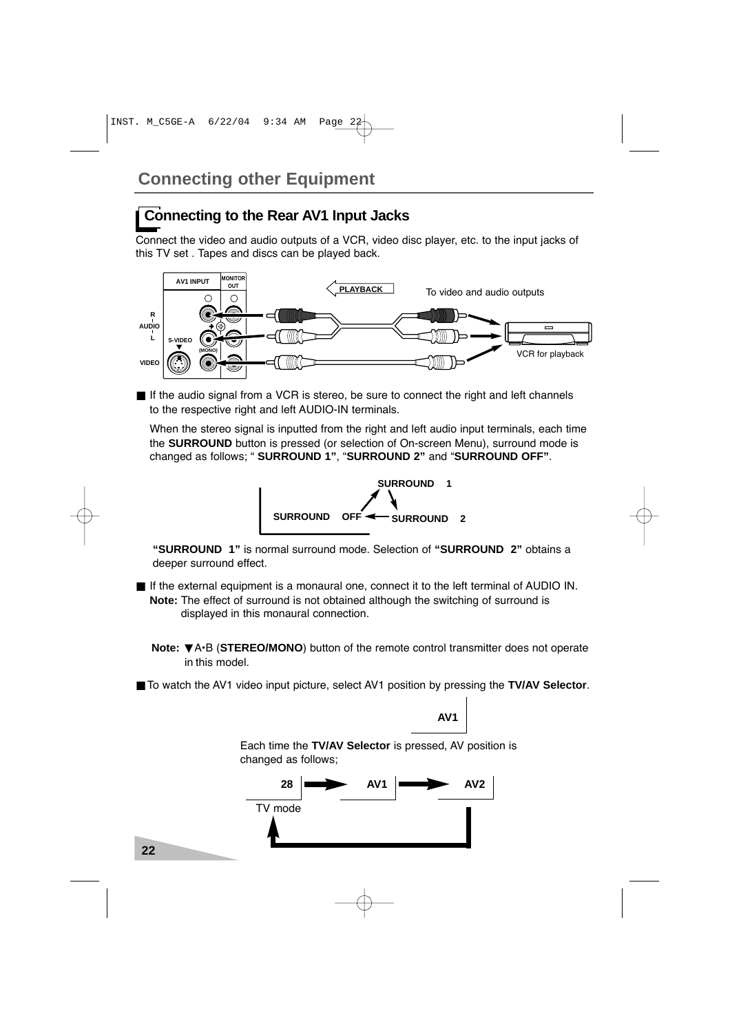### **Connecting to the Rear AV1 Input Jacks**

Connect the video and audio outputs of a VCR, video disc player, etc. to the input jacks of this TV set . Tapes and discs can be played back.



■ If the audio signal from a VCR is stereo, be sure to connect the right and left channels to the respective right and left AUDIO-IN terminals.

When the stereo signal is inputted from the right and left audio input terminals, each time the **SURROUND** button is pressed (or selection of On-screen Menu), surround mode is changed as follows; " **SURROUND 1"**, "**SURROUND 2"** and "**SURROUND OFF"**.



**"SURROUND 1"** is normal surround mode. Selection of **"SURROUND 2"** obtains a deeper surround effect.

- If the external equipment is a monaural one, connect it to the left terminal of AUDIO IN. **Note:** The effect of surround is not obtained although the switching of surround is displayed in this monaural connection.
	- **Note:** ▼A•B (**STEREO/MONO**) button of the remote control transmitter does not operate in this model.
- To watch the AV1 video input picture, select AV1 position by pressing the **TV/AV Selector**.

**AV1**

Each time the **TV/AV Selector** is pressed, AV position is changed as follows;

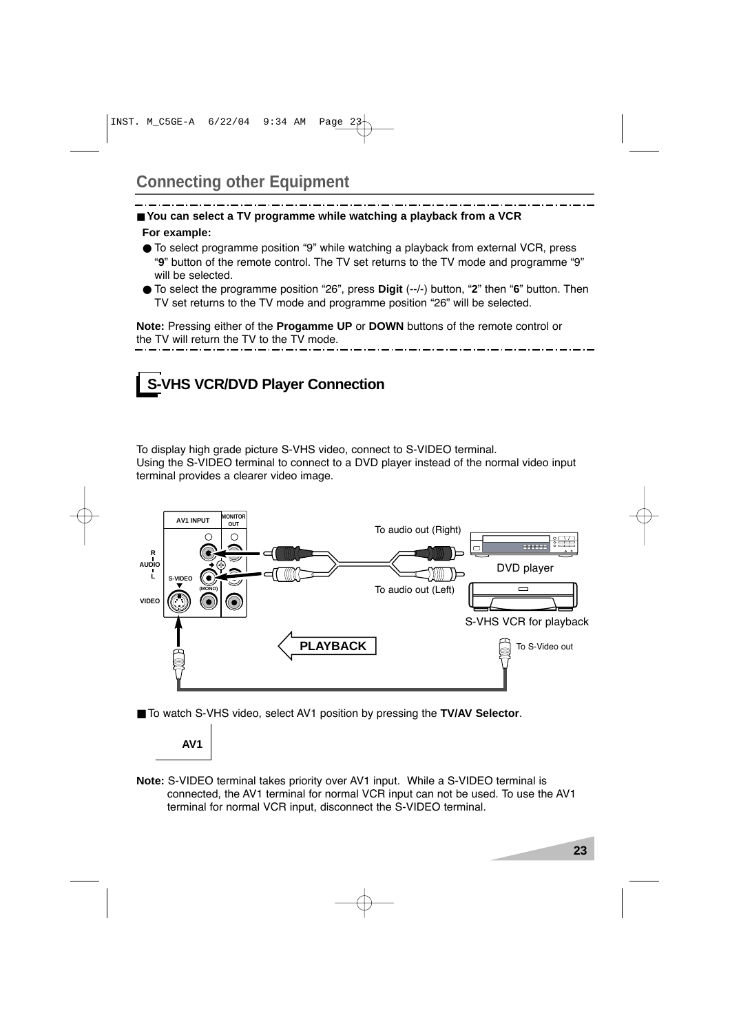#### ■ You can select a TV programme while watching a playback from a VCR

#### **For example:**

- To select programme position "9" while watching a playback from external VCR, press "**9**" button of the remote control. The TV set returns to the TV mode and programme "9" will be selected.
- To select the programme position "26", press **Digit** (--/-) button, "**2**" then "**6**" button. Then TV set returns to the TV mode and programme position "26" will be selected.

**Note:** Pressing either of the **Progamme UP** or **DOWN** buttons of the remote control or the TV will return the TV to the TV mode.



To display high grade picture S-VHS video, connect to S-VIDEO terminal. Using the S-VIDEO terminal to connect to a DVD player instead of the normal video input terminal provides a clearer video image.



■ To watch S-VHS video, select AV1 position by pressing the **TV/AV Selector**.



**Note:** S-VIDEO terminal takes priority over AV1 input. While a S-VIDEO terminal is connected, the AV1 terminal for normal VCR input can not be used. To use the AV1 terminal for normal VCR input, disconnect the S-VIDEO terminal.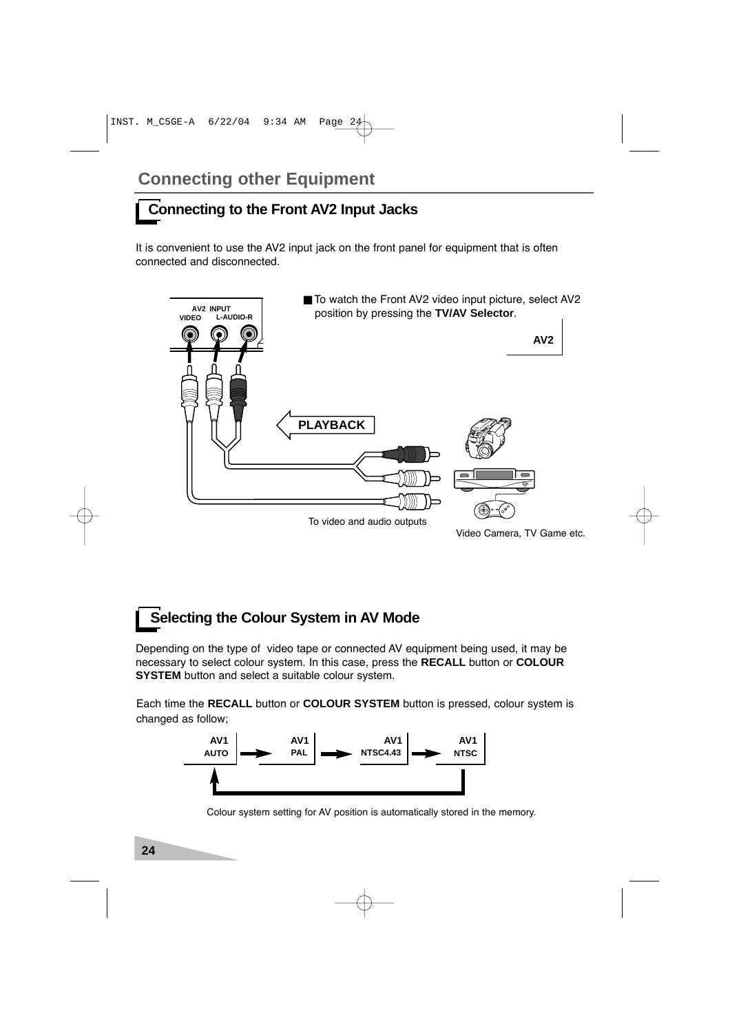# **Connecting to the Front AV2 Input Jacks**

It is convenient to use the AV2 input jack on the front panel for equipment that is often connected and disconnected.



# **Selecting the Colour System in AV Mode**

Depending on the type of video tape or connected AV equipment being used, it may be necessary to select colour system. In this case, press the **RECALL** button or **COLOUR SYSTEM** button and select a suitable colour system.

Each time the **RECALL** button or **COLOUR SYSTEM** button is pressed, colour system is changed as follow;



Colour system setting for AV position is automatically stored in the memory.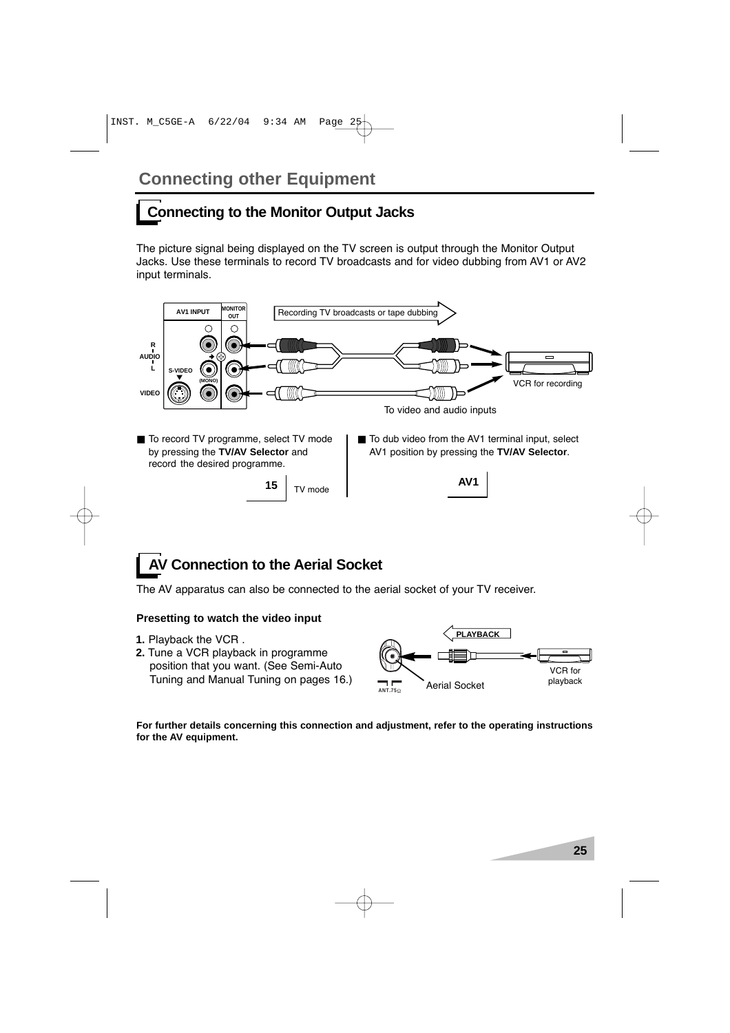### **Connecting to the Monitor Output Jacks**

The picture signal being displayed on the TV screen is output through the Monitor Output Jacks. Use these terminals to record TV broadcasts and for video dubbing from AV1 or AV2 input terminals.



### **AV Connection to the Aerial Socket**

The AV apparatus can also be connected to the aerial socket of your TV receiver.

#### **Presetting to watch the video input**

- **1.** Playback the VCR .
- **2.** Tune a VCR playback in programme position that you want. (See Semi-Auto Tuning and Manual Tuning on pages 16.)



**For further details concerning this connection and adjustment, refer to the operating instructions for the AV equipment.**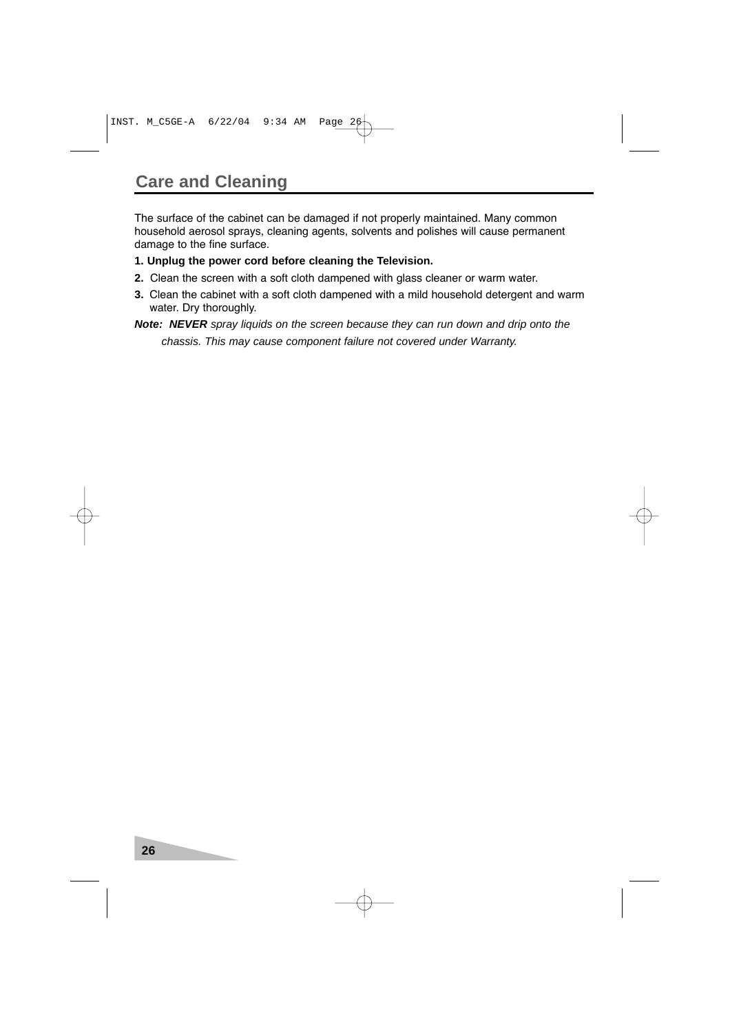The surface of the cabinet can be damaged if not properly maintained. Many common household aerosol sprays, cleaning agents, solvents and polishes will cause permanent damage to the fine surface.

- **1. Unplug the power cord before cleaning the Television.**
- **2.** Clean the screen with a soft cloth dampened with glass cleaner or warm water.
- **3.** Clean the cabinet with a soft cloth dampened with a mild household detergent and warm water. Dry thoroughly.
- **Note: NEVER** spray liquids on the screen because they can run down and drip onto the chassis. This may cause component failure not covered under Warranty.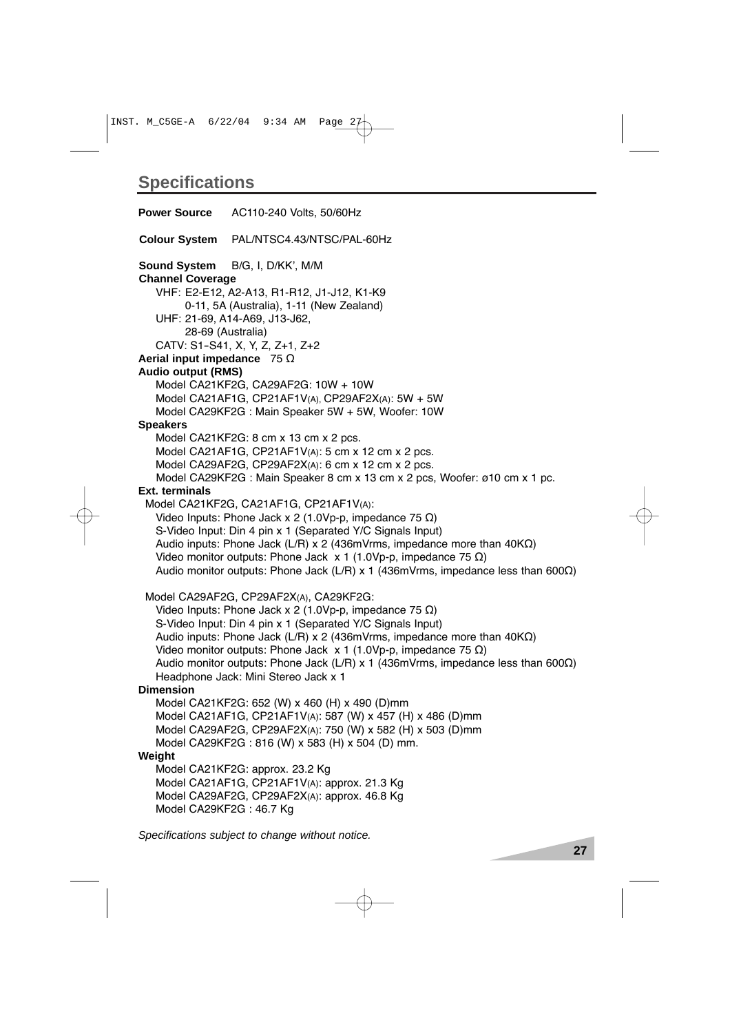**Power Source** AC110-240 Volts, 50/60Hz **Colour System** PAL/NTSC4.43/NTSC/PAL-60Hz **Sound System** B/G, I, D/KK', M/M **Channel Coverage** VHF: E2-E12, A2-A13, R1-R12, J1-J12, K1-K9 0-11, 5A (Australia), 1-11 (New Zealand) UHF: 21-69, A14-A69, J13-J62, 28-69 (Australia) CATV: S1-S41, X, Y, Z, Z+1, Z+2 **Aerial input impedance** 75 Ω **Audio output (RMS)** Model CA21KF2G, CA29AF2G: 10W + 10W Model CA21AF1G, CP21AF1V(A), CP29AF2X(A): 5W + 5W Model CA29KF2G : Main Speaker 5W + 5W, Woofer: 10W **Speakers** Model CA21KF2G: 8 cm x 13 cm x 2 pcs. Model CA21AF1G, CP21AF1V(A): 5 cm x 12 cm x 2 pcs. Model CA29AF2G, CP29AF2X(A): 6 cm x 12 cm x 2 pcs. Model CA29KF2G : Main Speaker 8 cm x 13 cm x 2 pcs, Woofer: ø10 cm x 1 pc. **Ext. terminals** Model CA21KF2G, CA21AF1G, CP21AF1V(A): Video Inputs: Phone Jack x 2 (1.0Vp-p, impedance  $75 Ω$ ) S-Video Input: Din 4 pin x 1 (Separated Y/C Signals Input) Audio inputs: Phone Jack (L/R) x 2 (436mVrms, impedance more than 40KΩ) Video monitor outputs: Phone Jack x 1 (1.0Vp-p, impedance 75 Ω) Audio monitor outputs: Phone Jack (L/R) x 1 (436mVrms, impedance less than 600Ω) Model CA29AF2G, CP29AF2X(A), CA29KF2G: Video Inputs: Phone Jack x 2 (1.0Vp-p, impedance 75 Ω) S-Video Input: Din 4 pin x 1 (Separated Y/C Signals Input) Audio inputs: Phone Jack (L/R) x 2 (436mVrms, impedance more than 40KΩ) Video monitor outputs: Phone Jack x 1 (1.0Vp-p, impedance 75  $\Omega$ ) Audio monitor outputs: Phone Jack (L/R) x 1 (436mVrms, impedance less than 600Ω) Headphone Jack: Mini Stereo Jack x 1 **Dimension** Model CA21KF2G: 652 (W) x 460 (H) x 490 (D)mm Model CA21AF1G, CP21AF1V(A): 587 (W) x 457 (H) x 486 (D)mm Model CA29AF2G, CP29AF2X(A): 750 (W) x 582 (H) x 503 (D)mm

Model CA29KF2G : 816 (W) x 583 (H) x 504 (D) mm.

#### **Weight**

Model CA21KF2G: approx. 23.2 Kg Model CA21AF1G, CP21AF1V(A): approx. 21.3 Kg Model CA29AF2G, CP29AF2X(A): approx. 46.8 Kg Model CA29KF2G : 46.7 Kg

Specifications subject to change without notice.